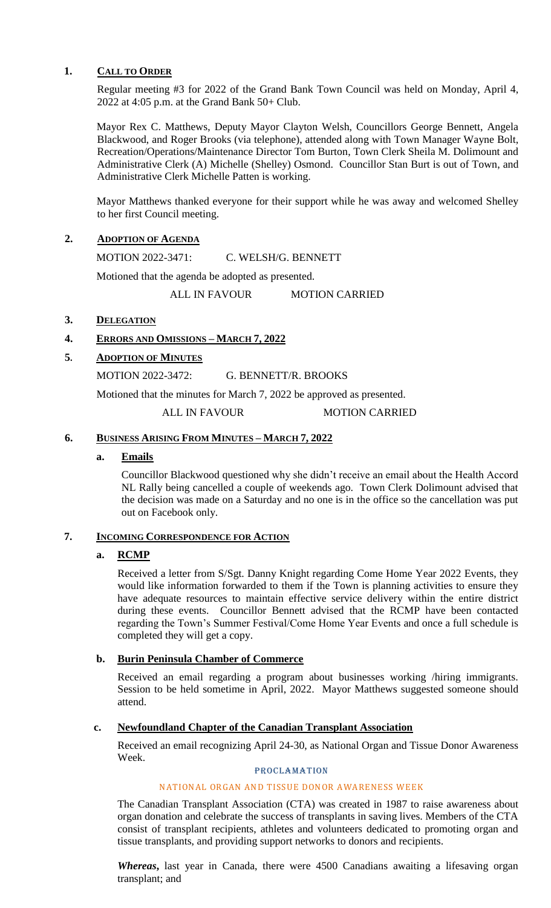### **1. CALL TO ORDER**

Regular meeting #3 for 2022 of the Grand Bank Town Council was held on Monday, April 4, 2022 at 4:05 p.m. at the Grand Bank 50+ Club.

Mayor Rex C. Matthews, Deputy Mayor Clayton Welsh, Councillors George Bennett, Angela Blackwood, and Roger Brooks (via telephone), attended along with Town Manager Wayne Bolt, Recreation/Operations/Maintenance Director Tom Burton, Town Clerk Sheila M. Dolimount and Administrative Clerk (A) Michelle (Shelley) Osmond. Councillor Stan Burt is out of Town, and Administrative Clerk Michelle Patten is working.

Mayor Matthews thanked everyone for their support while he was away and welcomed Shelley to her first Council meeting.

## **2. ADOPTION OF AGENDA**

MOTION 2022-3471: C. WELSH/G. BENNETT

Motioned that the agenda be adopted as presented.

ALL IN FAVOUR MOTION CARRIED

# **3. DELEGATION**

# **4. ERRORS AND OMISSIONS – MARCH 7, 2022**

## **5. ADOPTION OF MINUTES**

MOTION 2022-3472: G. BENNETT/R. BROOKS

Motioned that the minutes for March 7, 2022 be approved as presented.

ALL IN FAVOUR MOTION CARRIED

### **6. BUSINESS ARISING FROM MINUTES – MARCH 7, 2022**

## **a. Emails**

Councillor Blackwood questioned why she didn't receive an email about the Health Accord NL Rally being cancelled a couple of weekends ago. Town Clerk Dolimount advised that the decision was made on a Saturday and no one is in the office so the cancellation was put out on Facebook only.

### **7. INCOMING CORRESPONDENCE FOR ACTION**

### **a. RCMP**

Received a letter from S/Sgt. Danny Knight regarding Come Home Year 2022 Events, they would like information forwarded to them if the Town is planning activities to ensure they have adequate resources to maintain effective service delivery within the entire district during these events. Councillor Bennett advised that the RCMP have been contacted regarding the Town's Summer Festival/Come Home Year Events and once a full schedule is completed they will get a copy.

### **b. Burin Peninsula Chamber of Commerce**

Received an email regarding a program about businesses working /hiring immigrants. Session to be held sometime in April, 2022. Mayor Matthews suggested someone should attend.

### **c. Newfoundland Chapter of the Canadian Transplant Association**

Received an email recognizing April 24-30, as National Organ and Tissue Donor Awareness Week.

#### PROCLAMATION

### NATIONAL ORGAN AND TISSUE DONOR AWARENESS WEEK

The Canadian Transplant Association (CTA) was created in 1987 to raise awareness about organ donation and celebrate the success of transplants in saving lives. Members of the CTA consist of transplant recipients, athletes and volunteers dedicated to promoting organ and tissue transplants, and providing support networks to donors and recipients.

*Whereas***,** last year in Canada, there were 4500 Canadians awaiting a lifesaving organ transplant; and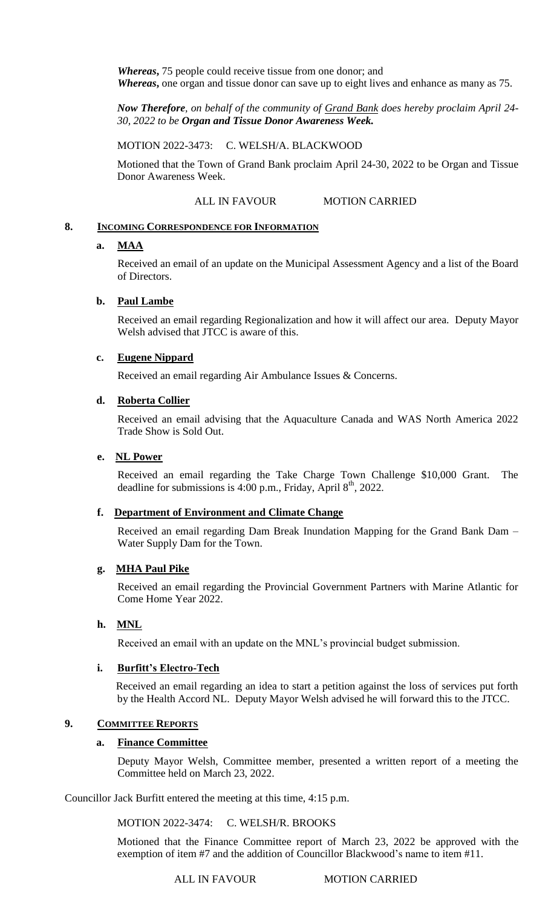*Whereas***,** 75 people could receive tissue from one donor; and *Whereas*, one organ and tissue donor can save up to eight lives and enhance as many as 75.

*Now Therefore, on behalf of the community of Grand Bank does hereby proclaim April 24- 30, 2022 to be Organ and Tissue Donor Awareness Week.*

MOTION 2022-3473: C. WELSH/A. BLACKWOOD

Motioned that the Town of Grand Bank proclaim April 24-30, 2022 to be Organ and Tissue Donor Awareness Week.

#### ALL IN FAVOUR MOTION CARRIED

#### **8. INCOMING CORRESPONDENCE FOR INFORMATION**

### **a. MAA**

Received an email of an update on the Municipal Assessment Agency and a list of the Board of Directors.

#### **b. Paul Lambe**

Received an email regarding Regionalization and how it will affect our area. Deputy Mayor Welsh advised that JTCC is aware of this.

#### **c. Eugene Nippard**

Received an email regarding Air Ambulance Issues & Concerns.

### **d. Roberta Collier**

Received an email advising that the Aquaculture Canada and WAS North America 2022 Trade Show is Sold Out.

#### **e. NL Power**

Received an email regarding the Take Charge Town Challenge \$10,000 Grant. The deadline for submissions is 4:00 p.m., Friday, April  $8<sup>th</sup>$ , 2022.

### **f. Department of Environment and Climate Change**

Received an email regarding Dam Break Inundation Mapping for the Grand Bank Dam – Water Supply Dam for the Town.

#### **g. MHA Paul Pike**

Received an email regarding the Provincial Government Partners with Marine Atlantic for Come Home Year 2022.

### **h. MNL**

Received an email with an update on the MNL's provincial budget submission.

#### **i. Burfitt's Electro-Tech**

 Received an email regarding an idea to start a petition against the loss of services put forth by the Health Accord NL. Deputy Mayor Welsh advised he will forward this to the JTCC.

#### **9. COMMITTEE REPORTS**

### **a. Finance Committee**

Deputy Mayor Welsh, Committee member, presented a written report of a meeting the Committee held on March 23, 2022.

Councillor Jack Burfitt entered the meeting at this time, 4:15 p.m.

MOTION 2022-3474: C. WELSH/R. BROOKS

Motioned that the Finance Committee report of March 23, 2022 be approved with the exemption of item #7 and the addition of Councillor Blackwood's name to item #11.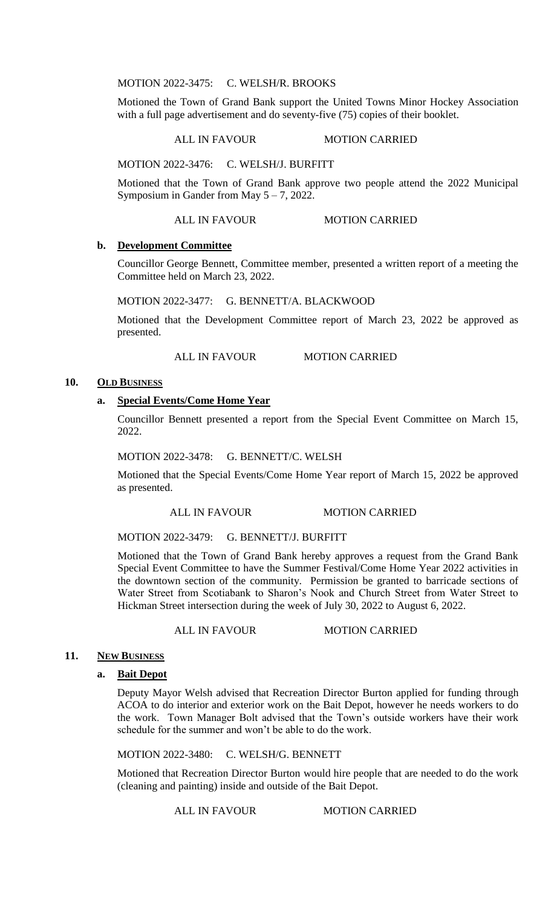MOTION 2022-3475: C. WELSH/R. BROOKS

Motioned the Town of Grand Bank support the United Towns Minor Hockey Association with a full page advertisement and do seventy-five (75) copies of their booklet.

#### ALL IN FAVOUR MOTION CARRIED

MOTION 2022-3476: C. WELSH/J. BURFITT

Motioned that the Town of Grand Bank approve two people attend the 2022 Municipal Symposium in Gander from May  $5 - 7$ , 2022.

#### ALL IN FAVOUR MOTION CARRIED

#### **b. Development Committee**

Councillor George Bennett, Committee member, presented a written report of a meeting the Committee held on March 23, 2022.

MOTION 2022-3477: G. BENNETT/A. BLACKWOOD

Motioned that the Development Committee report of March 23, 2022 be approved as presented.

ALL IN FAVOUR MOTION CARRIED

#### 10. OLD BUSINESS

## **a. Special Events/Come Home Year**

Councillor Bennett presented a report from the Special Event Committee on March 15, 2022.

MOTION 2022-3478: G. BENNETT/C. WELSH

Motioned that the Special Events/Come Home Year report of March 15, 2022 be approved as presented.

#### ALL IN FAVOUR MOTION CARRIED

### MOTION 2022-3479: G. BENNETT/J. BURFITT

Motioned that the Town of Grand Bank hereby approves a request from the Grand Bank Special Event Committee to have the Summer Festival/Come Home Year 2022 activities in the downtown section of the community. Permission be granted to barricade sections of Water Street from Scotiabank to Sharon's Nook and Church Street from Water Street to Hickman Street intersection during the week of July 30, 2022 to August 6, 2022.

#### ALL IN FAVOUR MOTION CARRIED

#### **11. NEW BUSINESS**

#### **a. Bait Depot**

Deputy Mayor Welsh advised that Recreation Director Burton applied for funding through ACOA to do interior and exterior work on the Bait Depot, however he needs workers to do the work. Town Manager Bolt advised that the Town's outside workers have their work schedule for the summer and won't be able to do the work.

MOTION 2022-3480: C. WELSH/G. BENNETT

Motioned that Recreation Director Burton would hire people that are needed to do the work (cleaning and painting) inside and outside of the Bait Depot.

ALL IN FAVOUR MOTION CARRIED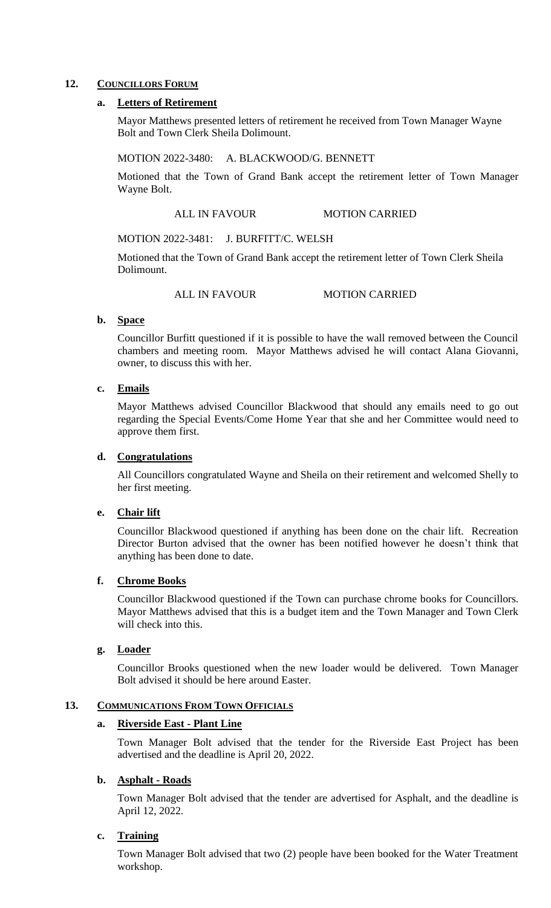## 12. **COUNCILLORS FORUM**

### **a. Letters of Retirement**

Mayor Matthews presented letters of retirement he received from Town Manager Wayne Bolt and Town Clerk Sheila Dolimount.

### MOTION 2022-3480: A. BLACKWOOD/G. BENNETT

Motioned that the Town of Grand Bank accept the retirement letter of Town Manager Wayne Bolt.

### ALL IN FAVOUR MOTION CARRIED

### MOTION 2022-3481: J. BURFITT/C. WELSH

Motioned that the Town of Grand Bank accept the retirement letter of Town Clerk Sheila Dolimount.

ALL IN FAVOUR MOTION CARRIED

### **b. Space**

Councillor Burfitt questioned if it is possible to have the wall removed between the Council chambers and meeting room. Mayor Matthews advised he will contact Alana Giovanni, owner, to discuss this with her.

## **c. Emails**

Mayor Matthews advised Councillor Blackwood that should any emails need to go out regarding the Special Events/Come Home Year that she and her Committee would need to approve them first.

### **d. Congratulations**

All Councillors congratulated Wayne and Sheila on their retirement and welcomed Shelly to her first meeting.

### **e. Chair lift**

Councillor Blackwood questioned if anything has been done on the chair lift. Recreation Director Burton advised that the owner has been notified however he doesn't think that anything has been done to date.

### **f. Chrome Books**

Councillor Blackwood questioned if the Town can purchase chrome books for Councillors. Mayor Matthews advised that this is a budget item and the Town Manager and Town Clerk will check into this.

### **g. Loader**

Councillor Brooks questioned when the new loader would be delivered. Town Manager Bolt advised it should be here around Easter.

### **13. COMMUNICATIONS FROM TOWN OFFICIALS**

# **a. Riverside East - Plant Line**

Town Manager Bolt advised that the tender for the Riverside East Project has been advertised and the deadline is April 20, 2022.

# **b. Asphalt - Roads**

Town Manager Bolt advised that the tender are advertised for Asphalt, and the deadline is April 12, 2022.

## **c. Training**

Town Manager Bolt advised that two (2) people have been booked for the Water Treatment workshop.